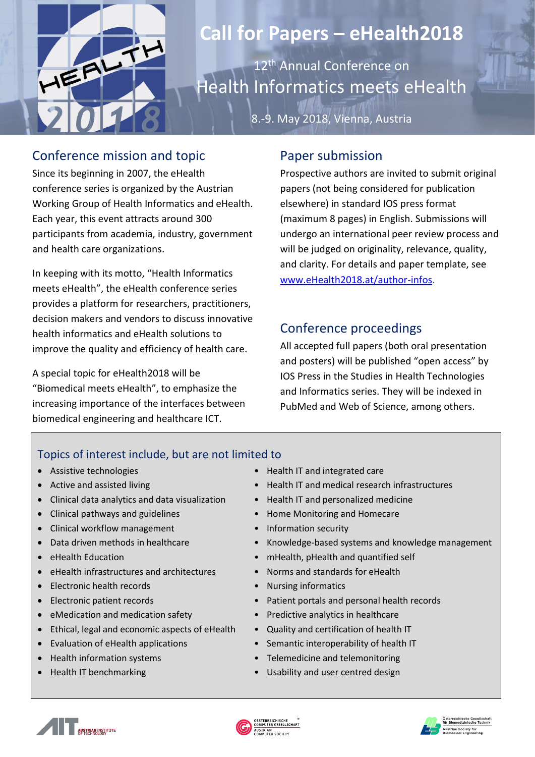

# **Call for Papers – eHealth2018**

12<sup>th</sup> Annual Conference on Health Informatics meets eHealth

8.-9. May 2018, Vienna, Austria

#### Conference mission and topic

Since its beginning in 2007, the eHealth conference series is organized by the Austrian Working Group of Health Informatics and eHealth. Each year, this event attracts around 300 participants from academia, industry, government and health care organizations.

In keeping with its motto, "Health Informatics meets eHealth", the eHealth conference series provides a platform for researchers, practitioners, decision makers and vendors to discuss innovative health informatics and eHealth solutions to improve the quality and efficiency of health care.

A special topic for eHealth2018 will be "Biomedical meets eHealth", to emphasize the increasing importance of the interfaces between biomedical engineering and healthcare ICT.

## Paper submission

Prospective authors are invited to submit original papers (not being considered for publication elsewhere) in standard IOS press format (maximum 8 pages) in English. Submissions will undergo an international peer review process and will be judged on originality, relevance, quality, and clarity. For details and paper template, see [www.eHealth2018.at/author-infos.](http://www.ehealth2018.at/author-infos)

## Conference proceedings

All accepted full papers (both oral presentation and posters) will be published "open access" by IOS Press in the Studies in Health Technologies and Informatics series. They will be indexed in PubMed and Web of Science, among others.

#### Topics of interest include, but are not limited to

- 
- 
- Clinical data analytics and data visualization Health IT and personalized medicine
- Clinical pathways and guidelines **•** Home Monitoring and Homecare
- Clinical workflow management Information security
- 
- 
- eHealth infrastructures and architectures Norms and standards for eHealth
- Electronic health records Nursing informatics
- 
- eMedication and medication safety Predictive analytics in healthcare
- Ethical, legal and economic aspects of eHealth Quality and certification of health IT
- 
- 
- 
- Assistive technologies Health IT and integrated care
	- Active and assisted living entitled and medical research infrastructures
		-
		-
		-
		- Data driven methods in healthcare Knowledge-based systems and knowledge management
- eHealth Education  **mHealth, pHealth and quantified self** 
	-
	-
- Electronic patient records Patient portals and personal health records
	-
	-
	- Evaluation of eHealth applications Semantic interoperability of health IT
	- Health information systems Telemedicine and telemonitoring
	- Health IT benchmarking Usability and user centred design